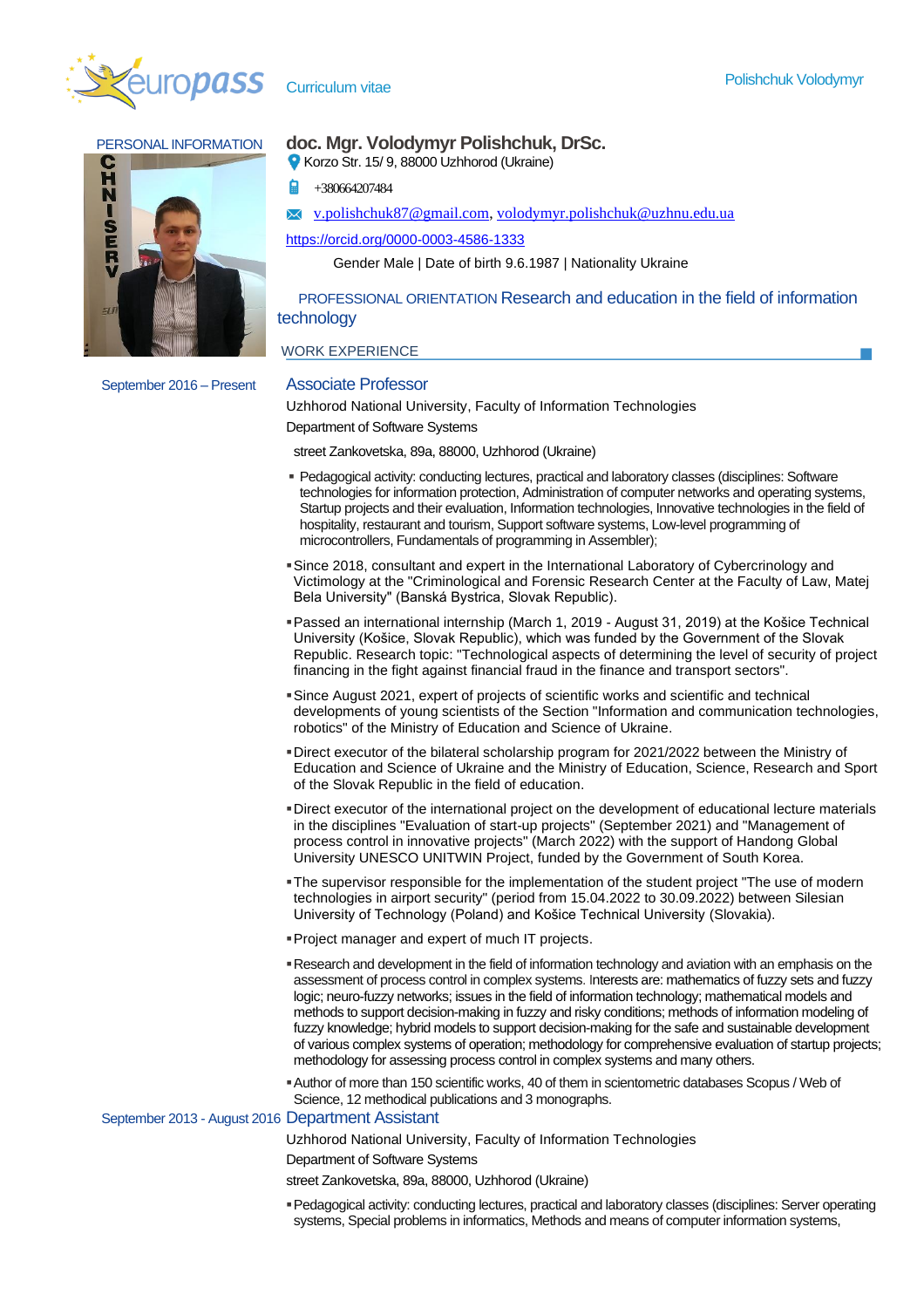



# PERSONAL INFORMATION **doc. Mgr. Volodymyr Polishchuk, DrSc.**

Korzo Str. 15/ 9, 88000 Uzhhorod (Ukraine)

- +380664207484
- [v.polishchuk87@gmail.com,](mailto:v.polishchuk87@gmail.com) [volodymyr.polishchuk@uzhnu.edu.ua](mailto:volodymyr.polishchuk@uzhnu.edu.ua)

<https://orcid.org/0000-0003-4586-1333>

Gender Male | Date of birth 9.6.1987 | Nationality Ukraine

 PROFESSIONAL ORIENTATION Research and education in the field of information technology

## WORK EXPERIENCE

Uzhhorod National University, Faculty of Information Technologies Department of Software Systems

street Zankovetska, 89a, 88000, Uzhhorod (Ukraine)

- Pedagogical activity: conducting lectures, practical and laboratory classes (disciplines: Software technologies for information protection, Administration of computer networks and operating systems, Startup projects and their evaluation, Information technologies, Innovative technologies in the field of hospitality, restaurant and tourism, Support software systems, Low-level programming of microcontrollers, Fundamentals of programming in Assembler);
- ▪Since 2018, consultant and expert in the International Laboratory of Cybercrinology and Victimology at the "Criminological and Forensic Research Center at the Faculty of Law, Matej Bela University" (Banská Bystrica, Slovak Republic).
- ▪Passed an international internship (March 1, 2019 August 31, 2019) at the Košice Technical University (Košice, Slovak Republic), which was funded by the Government of the Slovak Republic. Research topic: "Technological aspects of determining the level of security of project financing in the fight against financial fraud in the finance and transport sectors".
- ▪Since August 2021, expert of projects of scientific works and scientific and technical developments of young scientists of the Section "Information and communication technologies, robotics" of the Ministry of Education and Science of Ukraine.
- ▪Direct executor of the bilateral scholarship program for 2021/2022 between the Ministry of Education and Science of Ukraine and the Ministry of Education, Science, Research and Sport of the Slovak Republic in the field of education.
- ▪Direct executor of the international project on the development of educational lecture materials in the disciplines "Evaluation of start-up projects" (September 2021) and "Management of process control in innovative projects" (March 2022) with the support of Handong Global University UNESCO UNITWIN Project, funded by the Government of South Korea.
- ▪The supervisor responsible for the implementation of the student project "The use of modern technologies in airport security" (period from 15.04.2022 to 30.09.2022) between Silesian University of Technology (Poland) and Košice Technical University (Slovakia).
- ▪Project manager and expert of much IT projects.
- ▪Research and development in the field of information technology and aviation with an emphasis on the assessment of process control in complex systems. Interests are: mathematics of fuzzy sets and fuzzy logic; neuro-fuzzy networks; issues in the field of information technology; mathematical models and methods to support decision-making in fuzzy and risky conditions; methods of information modeling of fuzzy knowledge; hybrid models to support decision-making for the safe and sustainable development of various complex systems of operation; methodology for comprehensive evaluation of startup projects; methodology for assessing process control in complex systems and many others.
- ▪Author of more than 150 scientific works, 40 of them in scientometric databases Scopus / Web of Science, 12 methodical publications and 3 monographs.

## September 2013 - August 2016 Department Assistant

Uzhhorod National University, Faculty of Information Technologies

Department of Software Systems

street Zankovetska, 89a, 88000, Uzhhorod (Ukraine)

▪Pedagogical activity: conducting lectures, practical and laboratory classes (disciplines: Server operating systems, Special problems in informatics, Methods and means of computer information systems,

September 2016 – Present Associate Professor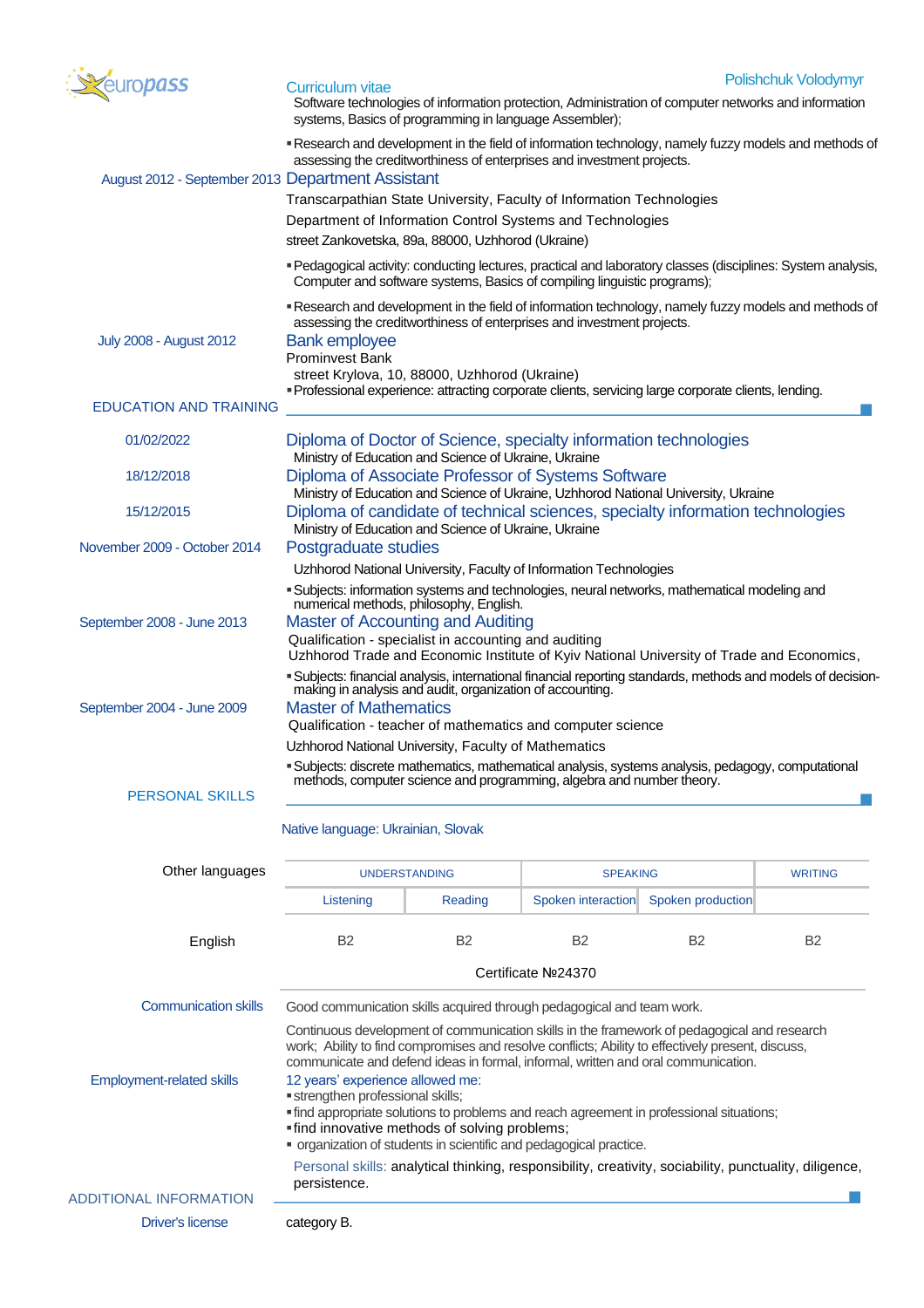

| Curriculum vitae                                                                                                                                                                | <b>Polishchuk Volodymyr</b> |
|---------------------------------------------------------------------------------------------------------------------------------------------------------------------------------|-----------------------------|
| Software technologies of information protection, Administration of computer networks and information<br>systems, Basics of programming in language Assembler);                  |                             |
| • Research and development in the field of information technology, namely fuzzy models and methods of<br>assessing the creditworthiness of enterprises and investment projects. |                             |

| August 2012 - September 2013 Department Assistant |                                                                                                                                                                                          |                                               |                                                                                                     |                                      |                |  |
|---------------------------------------------------|------------------------------------------------------------------------------------------------------------------------------------------------------------------------------------------|-----------------------------------------------|-----------------------------------------------------------------------------------------------------|--------------------------------------|----------------|--|
|                                                   |                                                                                                                                                                                          |                                               | Transcarpathian State University, Faculty of Information Technologies                               |                                      |                |  |
|                                                   | Department of Information Control Systems and Technologies                                                                                                                               |                                               |                                                                                                     |                                      |                |  |
|                                                   | street Zankovetska, 89a, 88000, Uzhhorod (Ukraine)                                                                                                                                       |                                               |                                                                                                     |                                      |                |  |
|                                                   | " Pedagogical activity: conducting lectures, practical and laboratory classes (disciplines: System analysis,<br>Computer and software systems, Basics of compiling linguistic programs); |                                               |                                                                                                     |                                      |                |  |
|                                                   | Research and development in the field of information technology, namely fuzzy models and methods of<br>assessing the creditworthiness of enterprises and investment projects.            |                                               |                                                                                                     |                                      |                |  |
| July 2008 - August 2012                           | <b>Bank employee</b>                                                                                                                                                                     |                                               |                                                                                                     |                                      |                |  |
|                                                   | Prominvest Bank                                                                                                                                                                          |                                               |                                                                                                     |                                      |                |  |
|                                                   |                                                                                                                                                                                          | street Krylova, 10, 88000, Uzhhorod (Ukraine) | "Professional experience: attracting corporate clients, servicing large corporate clients, lending. |                                      |                |  |
| <b>EDUCATION AND TRAINING</b>                     |                                                                                                                                                                                          |                                               |                                                                                                     |                                      |                |  |
| 01/02/2022                                        | Diploma of Doctor of Science, specialty information technologies<br>Ministry of Education and Science of Ukraine, Ukraine                                                                |                                               |                                                                                                     |                                      |                |  |
| 18/12/2018                                        | Diploma of Associate Professor of Systems Software<br>Ministry of Education and Science of Ukraine, Uzhhorod National University, Ukraine                                                |                                               |                                                                                                     |                                      |                |  |
| 15/12/2015                                        | Diploma of candidate of technical sciences, specialty information technologies<br>Ministry of Education and Science of Ukraine, Ukraine                                                  |                                               |                                                                                                     |                                      |                |  |
| November 2009 - October 2014                      | Postgraduate studies                                                                                                                                                                     |                                               |                                                                                                     |                                      |                |  |
|                                                   | Uzhhorod National University, Faculty of Information Technologies                                                                                                                        |                                               |                                                                                                     |                                      |                |  |
|                                                   | "Subjects: information systems and technologies, neural networks, mathematical modeling and<br>numerical methods, philosophy, English.                                                   |                                               |                                                                                                     |                                      |                |  |
| September 2008 - June 2013                        | <b>Master of Accounting and Auditing</b>                                                                                                                                                 |                                               |                                                                                                     |                                      |                |  |
|                                                   | Qualification - specialist in accounting and auditing<br>Uzhhorod Trade and Economic Institute of Kyiv National University of Trade and Economics,                                       |                                               |                                                                                                     |                                      |                |  |
|                                                   | "Subjects: financial analysis, international financial reporting standards, methods and models of decision-<br>making in analysis and audit, organization of accounting.                 |                                               |                                                                                                     |                                      |                |  |
| September 2004 - June 2009                        | <b>Master of Mathematics</b>                                                                                                                                                             |                                               |                                                                                                     |                                      |                |  |
|                                                   | Qualification - teacher of mathematics and computer science                                                                                                                              |                                               |                                                                                                     |                                      |                |  |
|                                                   | Uzhhorod National University, Faculty of Mathematics<br>"Subjects: discrete mathematics, mathematical analysis, systems analysis, pedagogy, computational                                |                                               |                                                                                                     |                                      |                |  |
| <b>PERSONAL SKILLS</b>                            |                                                                                                                                                                                          |                                               | methods, computer science and programming, algebra and number theory.                               |                                      |                |  |
|                                                   |                                                                                                                                                                                          |                                               |                                                                                                     |                                      |                |  |
|                                                   | Native language: Ukrainian, Slovak                                                                                                                                                       |                                               |                                                                                                     |                                      |                |  |
| Other languages                                   | <b>UNDERSTANDING</b>                                                                                                                                                                     |                                               | <b>SPEAKING</b>                                                                                     |                                      | <b>WRITING</b> |  |
|                                                   | Listening                                                                                                                                                                                | Reading                                       |                                                                                                     | Spoken interaction Spoken production |                |  |
|                                                   |                                                                                                                                                                                          |                                               |                                                                                                     |                                      |                |  |

| English                                                                                                                                                                                                                                                                                                                                                                                           | <b>B2</b>                                                                                                                                                                                                       | <b>B2</b> | <b>B2</b> | B <sub>2</sub> | B <sub>2</sub> |  |  |
|---------------------------------------------------------------------------------------------------------------------------------------------------------------------------------------------------------------------------------------------------------------------------------------------------------------------------------------------------------------------------------------------------|-----------------------------------------------------------------------------------------------------------------------------------------------------------------------------------------------------------------|-----------|-----------|----------------|----------------|--|--|
|                                                                                                                                                                                                                                                                                                                                                                                                   | Certificate Nº24370                                                                                                                                                                                             |           |           |                |                |  |  |
| <b>Communication skills</b>                                                                                                                                                                                                                                                                                                                                                                       | Good communication skills acquired through pedagogical and team work.                                                                                                                                           |           |           |                |                |  |  |
| Continuous development of communication skills in the framework of pedagogical and research<br>work; Ability to find compromises and resolve conflicts; Ability to effectively present, discuss,<br>communicate and defend ideas in formal, informal, written and oral communication.<br>12 years' experience allowed me:<br><b>Employment-related skills</b><br>"strengthen professional skills; |                                                                                                                                                                                                                 |           |           |                |                |  |  |
|                                                                                                                                                                                                                                                                                                                                                                                                   | " find appropriate solutions to problems and reach agreement in professional situations;<br>"find innovative methods of solving problems;<br>• organization of students in scientific and pedagogical practice. |           |           |                |                |  |  |
|                                                                                                                                                                                                                                                                                                                                                                                                   | Personal skills: analytical thinking, responsibility, creativity, sociability, punctuality, diligence,<br>persistence.                                                                                          |           |           |                |                |  |  |
| <b>ADDITIONAL INFORMATION</b>                                                                                                                                                                                                                                                                                                                                                                     |                                                                                                                                                                                                                 |           |           |                |                |  |  |
| Driver's license                                                                                                                                                                                                                                                                                                                                                                                  | category B.                                                                                                                                                                                                     |           |           |                |                |  |  |